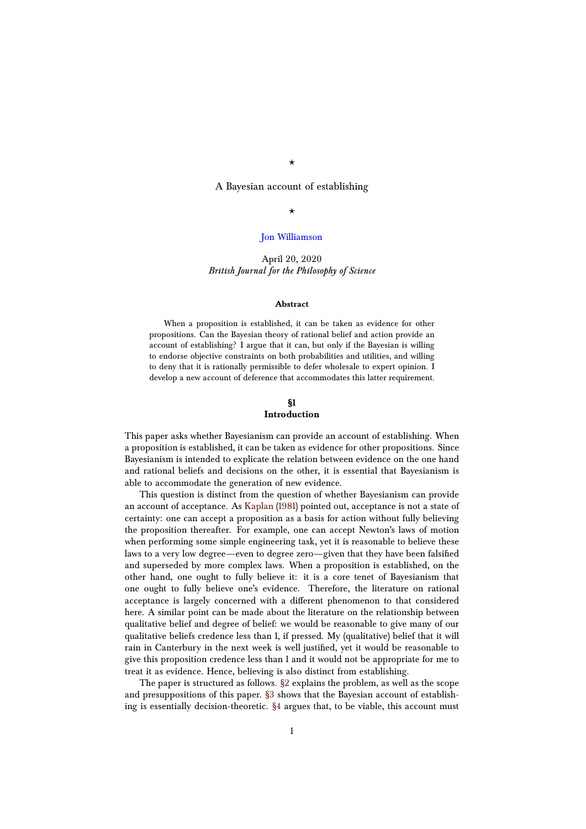## $\star$

A Bayesian account of establishing

## $\star$

## [Jon Williamson](http://blogs.kent.ac.uk/jonw/)

# April 20, 2020 *British Journal for the Philosophy of Science*

#### **Abstract**

When a proposition is established, it can be taken as evidence for other propositions. Can the Bayesian theory of rational belief and action provide an account of establishing? I argue that it can, but only if the Bayesian is willing to endorse objective constraints on both probabilities and utilities, and willing to deny that it is rationally permissible to defer wholesale to expert opinion. I develop a new account of deference that accommodates this latter requirement.

# **§1**

## **Introduction**

This paper asks whether Bayesianism can provide an account of establishing. When a proposition is established, it can be taken as evidence for other propositions. Since Bayesianism is intended to explicate the relation between evidence on the one hand and rational beliefs and decisions on the other, it is essential that Bayesianism is able to accommodate the generation of new evidence.

This question is distinct from the question of whether Bayesianism can provide an account of acceptance. As [Kaplan](#page-18-0) [\(1981\)](#page-18-0) pointed out, acceptance is not a state of certainty: one can accept a proposition as a basis for action without fully believing the proposition thereafter. For example, one can accept Newton's laws of motion when performing some simple engineering task, yet it is reasonable to believe these laws to a very low degree—even to degree zero—given that they have been falsified and superseded by more complex laws. When a proposition is established, on the other hand, one ought to fully believe it: it is a core tenet of Bayesianism that one ought to fully believe one's evidence. Therefore, the literature on rational acceptance is largely concerned with a different phenomenon to that considered here. A similar point can be made about the literature on the relationship between qualitative belief and degree of belief: we would be reasonable to give many of our qualitative beliefs credence less than 1, if pressed. My (qualitative) belief that it will rain in Canterbury in the next week is well justified, yet it would be reasonable to give this proposition credence less than 1 and it would not be appropriate for me to treat it as evidence. Hence, believing is also distinct from establishing.

The paper is structured as follows. [§2](#page-1-0) explains the problem, as well as the scope and presuppositions of this paper. [§3](#page-3-0) shows that the Bayesian account of establishing is essentially decision-theoretic. [§4](#page-5-0) argues that, to be viable, this account must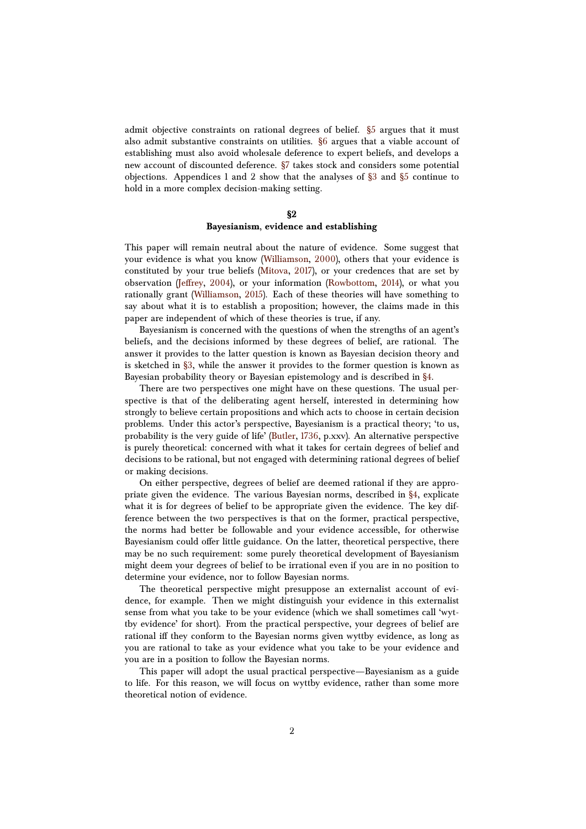admit objective constraints on rational degrees of belief. [§5](#page-6-0) argues that it must also admit substantive constraints on utilities. [§6](#page-8-0) argues that a viable account of establishing must also avoid wholesale deference to expert beliefs, and develops a new account of discounted deference. [§7](#page-14-0) takes stock and considers some potential objections. Appendices 1 and 2 show that the analyses of [§3](#page-3-0) and [§5](#page-6-0) continue to hold in a more complex decision-making setting.

#### **§2**

# **Bayesianism, evidence and establishing**

<span id="page-1-0"></span>This paper will remain neutral about the nature of evidence. Some suggest that your evidence is what you know [\(Williamson,](#page-19-0) [2000\)](#page-19-0), others that your evidence is constituted by your true beliefs [\(Mitova,](#page-18-1) [2017\)](#page-18-1), or your credences that are set by observation [\(Jeffrey,](#page-18-2) [2004\)](#page-18-2), or your information [\(Rowbottom,](#page-18-3) [2014\)](#page-18-3), or what you rationally grant [\(Williamson,](#page-19-1) [2015\)](#page-19-1). Each of these theories will have something to say about what it is to establish a proposition; however, the claims made in this paper are independent of which of these theories is true, if any.

Bayesianism is concerned with the questions of when the strengths of an agent's beliefs, and the decisions informed by these degrees of belief, are rational. The answer it provides to the latter question is known as Bayesian decision theory and is sketched in [§3,](#page-3-0) while the answer it provides to the former question is known as Bayesian probability theory or Bayesian epistemology and is described in [§4.](#page-5-0)

There are two perspectives one might have on these questions. The usual perspective is that of the deliberating agent herself, interested in determining how strongly to believe certain propositions and which acts to choose in certain decision problems. Under this actor's perspective, Bayesianism is a practical theory; 'to us, probability is the very guide of life' [\(Butler,](#page-18-4) [1736,](#page-18-4) p.xxv). An alternative perspective is purely theoretical: concerned with what it takes for certain degrees of belief and decisions to be rational, but not engaged with determining rational degrees of belief or making decisions.

On either perspective, degrees of belief are deemed rational if they are appropriate given the evidence. The various Bayesian norms, described in [§4,](#page-5-0) explicate what it is for degrees of belief to be appropriate given the evidence. The key difference between the two perspectives is that on the former, practical perspective, the norms had better be followable and your evidence accessible, for otherwise Bayesianism could offer little guidance. On the latter, theoretical perspective, there may be no such requirement: some purely theoretical development of Bayesianism might deem your degrees of belief to be irrational even if you are in no position to determine your evidence, nor to follow Bayesian norms.

The theoretical perspective might presuppose an externalist account of evidence, for example. Then we might distinguish your evidence in this externalist sense from what you take to be your evidence (which we shall sometimes call 'wyttby evidence' for short). From the practical perspective, your degrees of belief are rational iff they conform to the Bayesian norms given wyttby evidence, as long as you are rational to take as your evidence what you take to be your evidence and you are in a position to follow the Bayesian norms.

This paper will adopt the usual practical perspective—Bayesianism as a guide to life. For this reason, we will focus on wyttby evidence, rather than some more theoretical notion of evidence.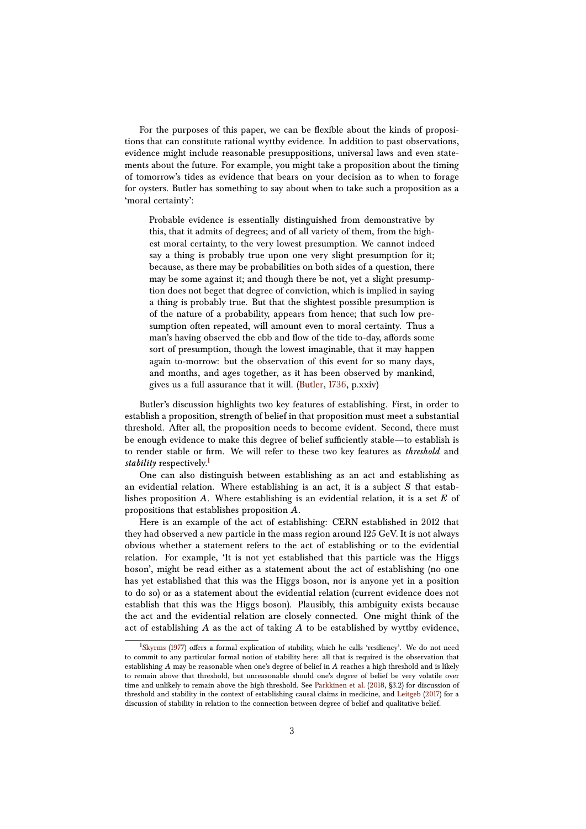For the purposes of this paper, we can be flexible about the kinds of propositions that can constitute rational wyttby evidence. In addition to past observations, evidence might include reasonable presuppositions, universal laws and even statements about the future. For example, you might take a proposition about the timing of tomorrow's tides as evidence that bears on your decision as to when to forage for oysters. Butler has something to say about when to take such a proposition as a 'moral certainty':

Probable evidence is essentially distinguished from demonstrative by this, that it admits of degrees; and of all variety of them, from the highest moral certainty, to the very lowest presumption. We cannot indeed say a thing is probably true upon one very slight presumption for it; because, as there may be probabilities on both sides of a question, there may be some against it; and though there be not, yet a slight presumption does not beget that degree of conviction, which is implied in saying a thing is probably true. But that the slightest possible presumption is of the nature of a probability, appears from hence; that such low presumption often repeated, will amount even to moral certainty. Thus a man's having observed the ebb and flow of the tide to-day, affords some sort of presumption, though the lowest imaginable, that it may happen again to-morrow: but the observation of this event for so many days, and months, and ages together, as it has been observed by mankind, gives us a full assurance that it will. [\(Butler,](#page-18-4) [1736,](#page-18-4) p.xxiv)

Butler's discussion highlights two key features of establishing. First, in order to establish a proposition, strength of belief in that proposition must meet a substantial threshold. After all, the proposition needs to become evident. Second, there must be enough evidence to make this degree of belief sufficiently stable—to establish is to render stable or firm. We will refer to these two key features as *threshold* and *stability* respectively.<sup>[1](#page-2-0)</sup>

One can also distinguish between establishing as an act and establishing as an evidential relation. Where establishing is an act, it is a subject *S* that establishes proposition *A*. Where establishing is an evidential relation, it is a set *E* of propositions that establishes proposition *A*.

Here is an example of the act of establishing: CERN established in 2012 that they had observed a new particle in the mass region around 125 GeV. It is not always obvious whether a statement refers to the act of establishing or to the evidential relation. For example, 'It is not yet established that this particle was the Higgs boson', might be read either as a statement about the act of establishing (no one has yet established that this was the Higgs boson, nor is anyone yet in a position to do so) or as a statement about the evidential relation (current evidence does not establish that this was the Higgs boson). Plausibly, this ambiguity exists because the act and the evidential relation are closely connected. One might think of the act of establishing *A* as the act of taking *A* to be established by wyttby evidence,

<span id="page-2-0"></span><sup>&</sup>lt;sup>1</sup>[Skyrms](#page-18-5) [\(1977\)](#page-18-5) offers a formal explication of stability, which he calls 'resiliency'. We do not need to commit to any particular formal notion of stability here: all that is required is the observation that establishing *A* may be reasonable when one's degree of belief in *A* reaches a high threshold and is likely to remain above that threshold, but unreasonable should one's degree of belief be very volatile over time and unlikely to remain above the high threshold. See [Parkkinen et al.](#page-18-6) [\(2018,](#page-18-6) §3.2) for discussion of threshold and stability in the context of establishing causal claims in medicine, and [Leitgeb](#page-18-7) [\(2017\)](#page-18-7) for a discussion of stability in relation to the connection between degree of belief and qualitative belief.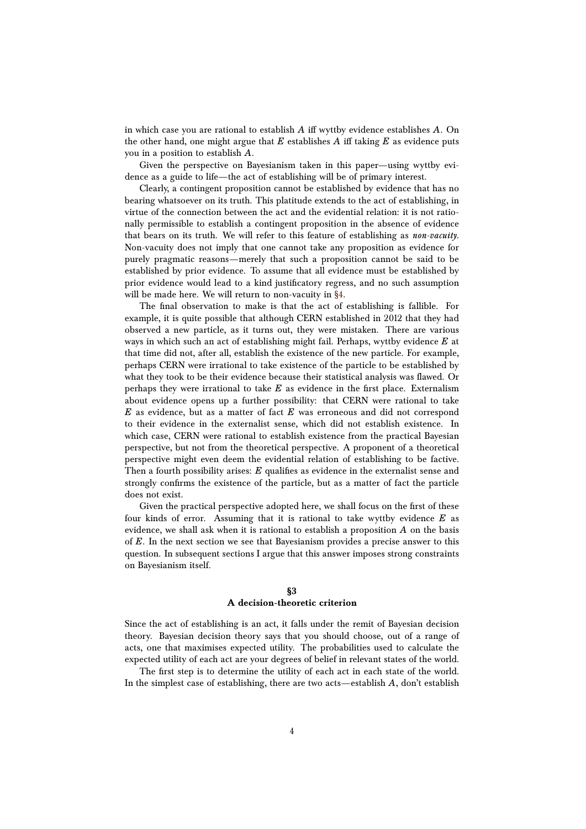in which case you are rational to establish *A* iff wyttby evidence establishes *A*. On the other hand, one might argue that  $E$  establishes  $A$  iff taking  $E$  as evidence puts you in a position to establish *A*.

Given the perspective on Bayesianism taken in this paper—using wyttby evidence as a guide to life—the act of establishing will be of primary interest.

Clearly, a contingent proposition cannot be established by evidence that has no bearing whatsoever on its truth. This platitude extends to the act of establishing, in virtue of the connection between the act and the evidential relation: it is not rationally permissible to establish a contingent proposition in the absence of evidence that bears on its truth. We will refer to this feature of establishing as *non-vacuity*. Non-vacuity does not imply that one cannot take any proposition as evidence for purely pragmatic reasons—merely that such a proposition cannot be said to be established by prior evidence. To assume that all evidence must be established by prior evidence would lead to a kind justificatory regress, and no such assumption will be made here. We will return to non-vacuity in [§4.](#page-5-0)

The final observation to make is that the act of establishing is fallible. For example, it is quite possible that although CERN established in 2012 that they had observed a new particle, as it turns out, they were mistaken. There are various ways in which such an act of establishing might fail. Perhaps, wyttby evidence *E* at that time did not, after all, establish the existence of the new particle. For example, perhaps CERN were irrational to take existence of the particle to be established by what they took to be their evidence because their statistical analysis was flawed. Or perhaps they were irrational to take *E* as evidence in the first place. Externalism about evidence opens up a further possibility: that CERN were rational to take *E* as evidence, but as a matter of fact *E* was erroneous and did not correspond to their evidence in the externalist sense, which did not establish existence. In which case, CERN were rational to establish existence from the practical Bayesian perspective, but not from the theoretical perspective. A proponent of a theoretical perspective might even deem the evidential relation of establishing to be factive. Then a fourth possibility arises: *E* qualifies as evidence in the externalist sense and strongly confirms the existence of the particle, but as a matter of fact the particle does not exist.

Given the practical perspective adopted here, we shall focus on the first of these four kinds of error. Assuming that it is rational to take wyttby evidence *E* as evidence, we shall ask when it is rational to establish a proposition *A* on the basis of *E*. In the next section we see that Bayesianism provides a precise answer to this question. In subsequent sections I argue that this answer imposes strong constraints on Bayesianism itself.

## **§3**

## **A decision-theoretic criterion**

<span id="page-3-0"></span>Since the act of establishing is an act, it falls under the remit of Bayesian decision theory. Bayesian decision theory says that you should choose, out of a range of acts, one that maximises expected utility. The probabilities used to calculate the expected utility of each act are your degrees of belief in relevant states of the world.

The first step is to determine the utility of each act in each state of the world. In the simplest case of establishing, there are two acts—establish *A*, don't establish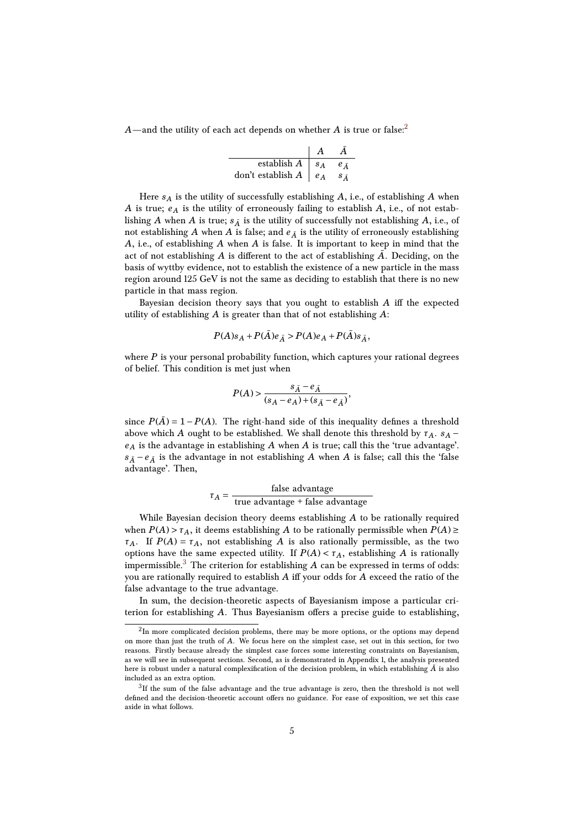$A$ —and the utility of each act depends on whether  $A$  is true or false:<sup>[2](#page-4-0)</sup>

| establish $A \mid s_A$       | $e_{\bar{A}}$ |
|------------------------------|---------------|
| don't establish $A \mid e_A$ |               |

Here *s<sup>A</sup>* is the utility of successfully establishing *A*, i.e., of establishing *A* when *A* is true; *e <sup>A</sup>* is the utility of erroneously failing to establish *A*, i.e., of not establishing *A* when *A* is true;  $s_{\overline{A}}$  is the utility of successfully not establishing *A*, i.e., of not establishing *A* when *A* is false; and  $e_{\bar{A}}$  is the utility of erroneously establishing *A*, i.e., of establishing *A* when *A* is false. It is important to keep in mind that the act of not establishing  $A$  is different to the act of establishing  $\overline{A}$ . Deciding, on the basis of wyttby evidence, not to establish the existence of a new particle in the mass region around 125 GeV is not the same as deciding to establish that there is no new particle in that mass region.

Bayesian decision theory says that you ought to establish *A* iff the expected utility of establishing *A* is greater than that of not establishing *A*:

$$
P(A)s_A + P(\bar{A})e_{\bar{A}} > P(A)e_A + P(\bar{A})s_{\bar{A}},
$$

where *P* is your personal probability function, which captures your rational degrees of belief. This condition is met just when

$$
P(A) > \frac{s_{\bar{A}}-e_{\bar{A}}}{(s_A-e_A)+(s_{\bar{A}}-e_{\bar{A}})},
$$

since  $P(\overline{A}) = 1 - P(A)$ . The right-hand side of this inequality defines a threshold above which *A* ought to be established. We shall denote this threshold by  $\tau_A$ .  $s_A$ *e <sup>A</sup>* is the advantage in establishing *A* when *A* is true; call this the 'true advantage'.  $s_{\bar{A}} - e_{\bar{A}}$  is the advantage in not establishing *A* when *A* is false; call this the 'false advantage'. Then,

$$
\tau_A = \frac{\text{false advantage}}{\text{true advantage} + \text{false advantage}}
$$

While Bayesian decision theory deems establishing *A* to be rationally required when  $P(A) > \tau_A$ , it deems establishing *A* to be rationally permissible when  $P(A) \ge$ *τ*<sub>*A*</sub>. If *P*(*A*) = *τ*<sub>*A*</sub>, not establishing *A* is also rationally permissible, as the two options have the same expected utility. If  $P(A) < \tau_A$ , establishing *A* is rationally impermissible.<sup>[3](#page-4-1)</sup> The criterion for establishing  $A$  can be expressed in terms of odds: you are rationally required to establish *A* iff your odds for *A* exceed the ratio of the false advantage to the true advantage.

In sum, the decision-theoretic aspects of Bayesianism impose a particular criterion for establishing *A*. Thus Bayesianism offers a precise guide to establishing,

<span id="page-4-0"></span> $^2{\rm In}$  more complicated decision problems, there may be more options, or the options may depend on more than just the truth of *A*. We focus here on the simplest case, set out in this section, for two reasons. Firstly because already the simplest case forces some interesting constraints on Bayesianism, as we will see in subsequent sections. Second, as is demonstrated in Appendix 1, the analysis presented here is robust under a natural complexification of the decision problem, in which establishing  $\bar{A}$  is also included as an extra option.

<span id="page-4-1"></span> ${}^{3}$ If the sum of the false advantage and the true advantage is zero, then the threshold is not well defined and the decision-theoretic account offers no guidance. For ease of exposition, we set this case aside in what follows.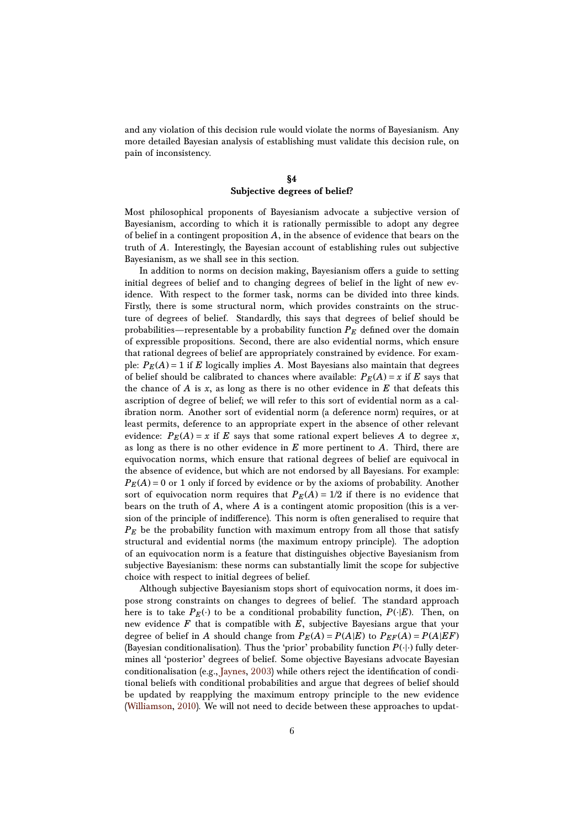and any violation of this decision rule would violate the norms of Bayesianism. Any more detailed Bayesian analysis of establishing must validate this decision rule, on pain of inconsistency.

# **§4 Subjective degrees of belief?**

<span id="page-5-0"></span>Most philosophical proponents of Bayesianism advocate a subjective version of Bayesianism, according to which it is rationally permissible to adopt any degree of belief in a contingent proposition *A*, in the absence of evidence that bears on the truth of *A*. Interestingly, the Bayesian account of establishing rules out subjective Bayesianism, as we shall see in this section.

In addition to norms on decision making, Bayesianism offers a guide to setting initial degrees of belief and to changing degrees of belief in the light of new evidence. With respect to the former task, norms can be divided into three kinds. Firstly, there is some structural norm, which provides constraints on the structure of degrees of belief. Standardly, this says that degrees of belief should be probabilities—representable by a probability function  $P_E$  defined over the domain of expressible propositions. Second, there are also evidential norms, which ensure that rational degrees of belief are appropriately constrained by evidence. For example:  $P_E(A) = 1$  if *E* logically implies *A*. Most Bayesians also maintain that degrees of belief should be calibrated to chances where available:  $P_E(A) = x$  if *E* says that the chance of  $A$  is  $x$ , as long as there is no other evidence in  $E$  that defeats this ascription of degree of belief; we will refer to this sort of evidential norm as a calibration norm. Another sort of evidential norm (a deference norm) requires, or at least permits, deference to an appropriate expert in the absence of other relevant evidence:  $P_E(A) = x$  if *E* says that some rational expert believes *A* to degree *x*, as long as there is no other evidence in *E* more pertinent to *A*. Third, there are equivocation norms, which ensure that rational degrees of belief are equivocal in the absence of evidence, but which are not endorsed by all Bayesians. For example:  $P_E(A) = 0$  or 1 only if forced by evidence or by the axioms of probability. Another sort of equivocation norm requires that  $P_E(A) = 1/2$  if there is no evidence that bears on the truth of *A*, where *A* is a contingent atomic proposition (this is a version of the principle of indifference). This norm is often generalised to require that *P<sup>E</sup>* be the probability function with maximum entropy from all those that satisfy structural and evidential norms (the maximum entropy principle). The adoption of an equivocation norm is a feature that distinguishes objective Bayesianism from subjective Bayesianism: these norms can substantially limit the scope for subjective choice with respect to initial degrees of belief.

Although subjective Bayesianism stops short of equivocation norms, it does impose strong constraints on changes to degrees of belief. The standard approach here is to take  $P_E(\cdot)$  to be a conditional probability function,  $P(\cdot|E)$ . Then, on new evidence *F* that is compatible with *E*, subjective Bayesians argue that your degree of belief in *A* should change from  $P_E(A) = P(A|E)$  to  $P_{EF}(A) = P(A|EF)$ (Bayesian conditionalisation). Thus the 'prior' probability function  $P(\cdot|\cdot)$  fully determines all 'posterior' degrees of belief. Some objective Bayesians advocate Bayesian conditionalisation (e.g., [Jaynes,](#page-18-8) [2003\)](#page-18-8) while others reject the identification of conditional beliefs with conditional probabilities and argue that degrees of belief should be updated by reapplying the maximum entropy principle to the new evidence [\(Williamson,](#page-19-2) [2010\)](#page-19-2). We will not need to decide between these approaches to updat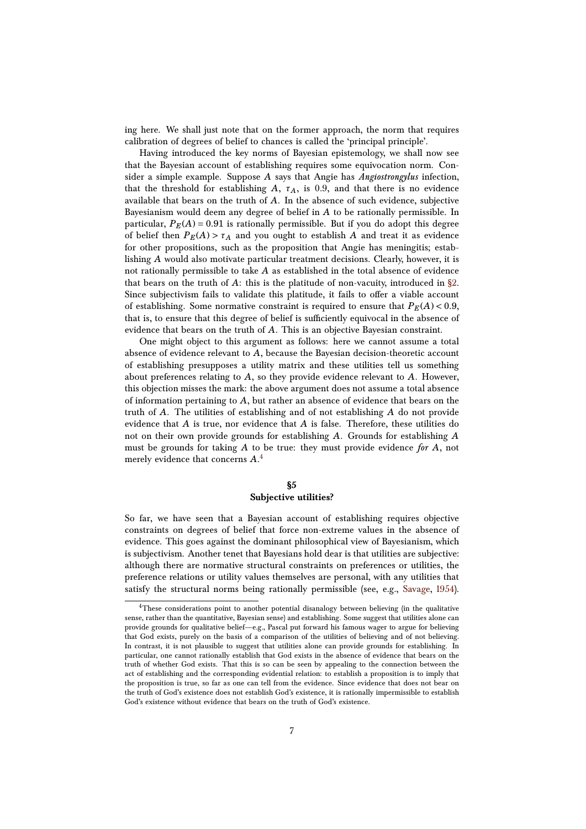ing here. We shall just note that on the former approach, the norm that requires calibration of degrees of belief to chances is called the 'principal principle'.

Having introduced the key norms of Bayesian epistemology, we shall now see that the Bayesian account of establishing requires some equivocation norm. Consider a simple example. Suppose *A* says that Angie has *Angiostrongylus* infection, that the threshold for establishing  $A$ ,  $\tau_A$ , is 0.9, and that there is no evidence available that bears on the truth of *A*. In the absence of such evidence, subjective Bayesianism would deem any degree of belief in *A* to be rationally permissible. In particular,  $P_E(A) = 0.91$  is rationally permissible. But if you do adopt this degree of belief then  $P_E(A) > \tau_A$  and you ought to establish *A* and treat it as evidence for other propositions, such as the proposition that Angie has meningitis; establishing *A* would also motivate particular treatment decisions. Clearly, however, it is not rationally permissible to take *A* as established in the total absence of evidence that bears on the truth of  $A$ : this is the platitude of non-vacuity, introduced in  $\S 2$ . Since subjectivism fails to validate this platitude, it fails to offer a viable account of establishing. Some normative constraint is required to ensure that  $P_E(A) < 0.9$ , that is, to ensure that this degree of belief is sufficiently equivocal in the absence of evidence that bears on the truth of *A*. This is an objective Bayesian constraint.

One might object to this argument as follows: here we cannot assume a total absence of evidence relevant to *A*, because the Bayesian decision-theoretic account of establishing presupposes a utility matrix and these utilities tell us something about preferences relating to *A*, so they provide evidence relevant to *A*. However, this objection misses the mark: the above argument does not assume a total absence of information pertaining to *A*, but rather an absence of evidence that bears on the truth of *A*. The utilities of establishing and of not establishing *A* do not provide evidence that *A* is true, nor evidence that *A* is false. Therefore, these utilities do not on their own provide grounds for establishing *A*. Grounds for establishing *A* must be grounds for taking *A* to be true: they must provide evidence *for A*, not merely evidence that concerns *A*. [4](#page-6-1)

## **§5 Subjective utilities?**

<span id="page-6-0"></span>So far, we have seen that a Bayesian account of establishing requires objective constraints on degrees of belief that force non-extreme values in the absence of evidence. This goes against the dominant philosophical view of Bayesianism, which is subjectivism. Another tenet that Bayesians hold dear is that utilities are subjective: although there are normative structural constraints on preferences or utilities, the preference relations or utility values themselves are personal, with any utilities that satisfy the structural norms being rationally permissible (see, e.g., [Savage,](#page-18-9) [1954\)](#page-18-9).

<span id="page-6-1"></span><sup>&</sup>lt;sup>4</sup>These considerations point to another potential disanalogy between believing (in the qualitative sense, rather than the quantitative, Bayesian sense) and establishing. Some suggest that utilities alone can provide grounds for qualitative belief—e.g., Pascal put forward his famous wager to argue for believing that God exists, purely on the basis of a comparison of the utilities of believing and of not believing. In contrast, it is not plausible to suggest that utilities alone can provide grounds for establishing. In particular, one cannot rationally establish that God exists in the absence of evidence that bears on the truth of whether God exists. That this is so can be seen by appealing to the connection between the act of establishing and the corresponding evidential relation: to establish a proposition is to imply that the proposition is true, so far as one can tell from the evidence. Since evidence that does not bear on the truth of God's existence does not establish God's existence, it is rationally impermissible to establish God's existence without evidence that bears on the truth of God's existence.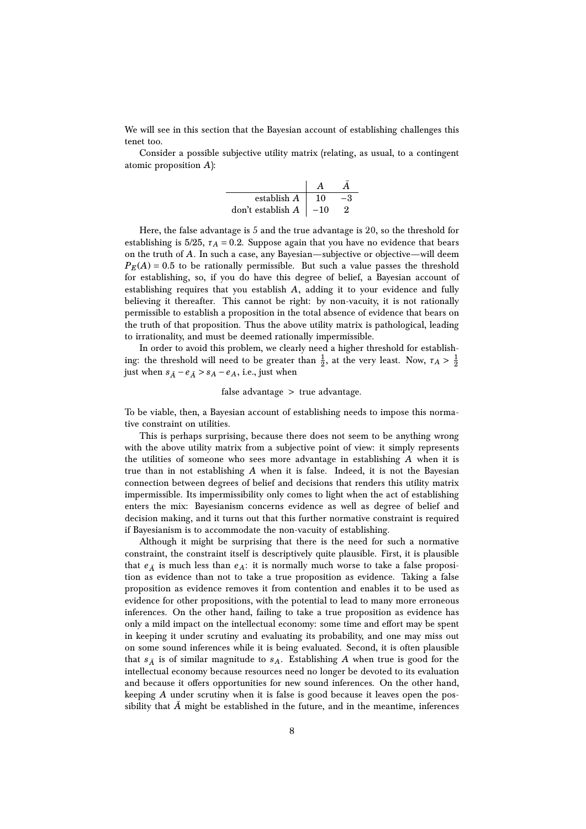We will see in this section that the Bayesian account of establishing challenges this tenet too.

Consider a possible subjective utility matrix (relating, as usual, to a contingent atomic proposition *A*):

| establish A       | 10    |  |
|-------------------|-------|--|
| don't establish A | $-10$ |  |

Here, the false advantage is 5 and the true advantage is 20, so the threshold for establishing is  $5/25$ ,  $\tau_A = 0.2$ . Suppose again that you have no evidence that bears on the truth of *A*. In such a case, any Bayesian—subjective or objective—will deem  $P_E(A) = 0.5$  to be rationally permissible. But such a value passes the threshold for establishing, so, if you do have this degree of belief, a Bayesian account of establishing requires that you establish *A*, adding it to your evidence and fully believing it thereafter. This cannot be right: by non-vacuity, it is not rationally permissible to establish a proposition in the total absence of evidence that bears on the truth of that proposition. Thus the above utility matrix is pathological, leading to irrationality, and must be deemed rationally impermissible.

In order to avoid this problem, we clearly need a higher threshold for establishing: the threshold will need to be greater than  $\frac{1}{2}$ , at the very least. Now,  $\tau_A > \frac{1}{2}$ just when  $s_{\bar{A}} - e_{\bar{A}} > s_A - e_A$ , i.e., just when

## false advantage > true advantage.

To be viable, then, a Bayesian account of establishing needs to impose this normative constraint on utilities.

This is perhaps surprising, because there does not seem to be anything wrong with the above utility matrix from a subjective point of view: it simply represents the utilities of someone who sees more advantage in establishing *A* when it is true than in not establishing *A* when it is false. Indeed, it is not the Bayesian connection between degrees of belief and decisions that renders this utility matrix impermissible. Its impermissibility only comes to light when the act of establishing enters the mix: Bayesianism concerns evidence as well as degree of belief and decision making, and it turns out that this further normative constraint is required if Bayesianism is to accommodate the non-vacuity of establishing.

Although it might be surprising that there is the need for such a normative constraint, the constraint itself is descriptively quite plausible. First, it is plausible that  $e_{\bar{A}}$  is much less than  $e_{A}$ : it is normally much worse to take a false proposition as evidence than not to take a true proposition as evidence. Taking a false proposition as evidence removes it from contention and enables it to be used as evidence for other propositions, with the potential to lead to many more erroneous inferences. On the other hand, failing to take a true proposition as evidence has only a mild impact on the intellectual economy: some time and effort may be spent in keeping it under scrutiny and evaluating its probability, and one may miss out on some sound inferences while it is being evaluated. Second, it is often plausible that  $s_{\overline{A}}$  is of similar magnitude to  $s_A$ . Establishing A when true is good for the intellectual economy because resources need no longer be devoted to its evaluation and because it offers opportunities for new sound inferences. On the other hand, keeping *A* under scrutiny when it is false is good because it leaves open the possibility that  $\overline{A}$  might be established in the future, and in the meantime, inferences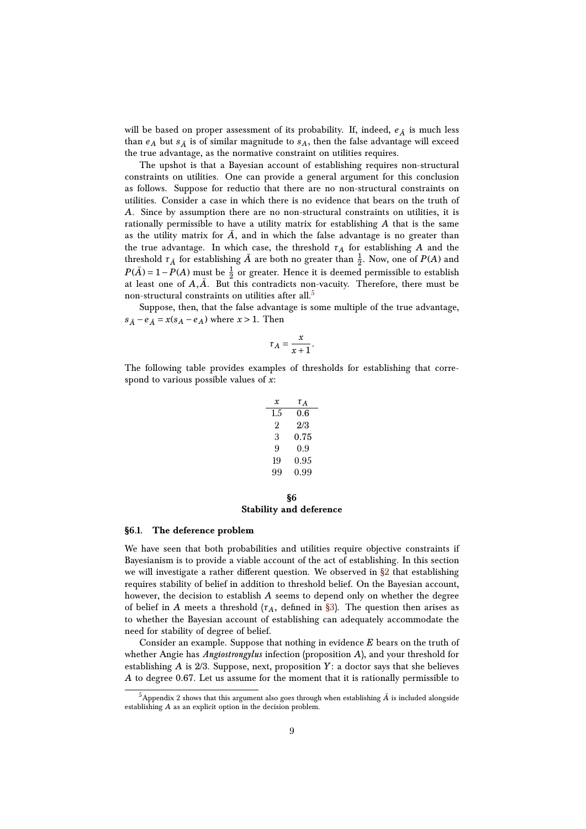will be based on proper assessment of its probability. If, indeed,  $e_{\bar{A}}$  is much less than  $e_A$  but  $s_{\overline{A}}$  is of similar magnitude to  $s_A$ , then the false advantage will exceed the true advantage, as the normative constraint on utilities requires.

The upshot is that a Bayesian account of establishing requires non-structural constraints on utilities. One can provide a general argument for this conclusion as follows. Suppose for reductio that there are no non-structural constraints on utilities. Consider a case in which there is no evidence that bears on the truth of *A*. Since by assumption there are no non-structural constraints on utilities, it is rationally permissible to have a utility matrix for establishing *A* that is the same as the utility matrix for  $\bar{A}$ , and in which the false advantage is no greater than the true advantage. In which case, the threshold *τ<sup>A</sup>* for establishing *A* and the threshold  $\tau_{\bar{A}}$  for establishing  $\bar{A}$  are both no greater than  $\frac{1}{2}$ . Now, one of  $P(A)$  and  $P(\bar{A}) = 1 - P(A)$  must be  $\frac{1}{2}$  or greater. Hence it is deemed permissible to establish at least one of  $A, \overline{A}$ . But this contradicts non-vacuity. Therefore, there must be non-structural constraints on utilities after all.<sup>[5](#page-8-1)</sup>

Suppose, then, that the false advantage is some multiple of the true advantage,  $s_{\bar{A}} - e_{\bar{A}} = x(s_A - e_A)$  where  $x > 1$ . Then

$$
\tau_A = \frac{x}{x+1}.
$$

The following table provides examples of thresholds for establishing that correspond to various possible values of *x*:

| $x$ | $\tau_A$ |
|-----|----------|
| 1.5 | 0.6      |
| 2   | 2/3      |
| 3   | 0.75     |
| 9   | 0.9      |
| 19  | 0.95     |
| 99  | 0.99     |

## **§6 Stability and deference**

#### <span id="page-8-2"></span><span id="page-8-0"></span>**§6.1. The deference problem**

We have seen that both probabilities and utilities require objective constraints if Bayesianism is to provide a viable account of the act of establishing. In this section we will investigate a rather different question. We observed in  $\S2$  that establishing requires stability of belief in addition to threshold belief. On the Bayesian account, however, the decision to establish *A* seems to depend only on whether the degree of belief in *A* meets a threshold  $(\tau_A,$  defined in [§3\)](#page-3-0). The question then arises as to whether the Bayesian account of establishing can adequately accommodate the need for stability of degree of belief.

Consider an example. Suppose that nothing in evidence *E* bears on the truth of whether Angie has *Angiostrongylus* infection (proposition *A*), and your threshold for establishing *A* is 2/3. Suppose, next, proposition *Y*: a doctor says that she believes *A* to degree 0.67. Let us assume for the moment that it is rationally permissible to

<span id="page-8-1"></span> $^5$ Appendix  $2$  shows that this argument also goes through when establishing  $\bar{A}$  is included alongside establishing *A* as an explicit option in the decision problem.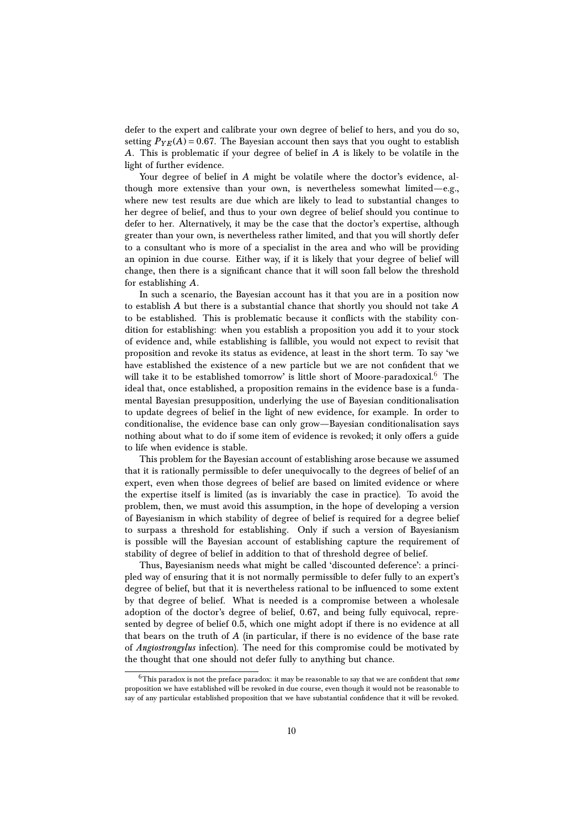defer to the expert and calibrate your own degree of belief to hers, and you do so, setting  $P_{YE}(A) = 0.67$ . The Bayesian account then says that you ought to establish *A*. This is problematic if your degree of belief in *A* is likely to be volatile in the light of further evidence.

Your degree of belief in *A* might be volatile where the doctor's evidence, although more extensive than your own, is nevertheless somewhat limited—e.g., where new test results are due which are likely to lead to substantial changes to her degree of belief, and thus to your own degree of belief should you continue to defer to her. Alternatively, it may be the case that the doctor's expertise, although greater than your own, is nevertheless rather limited, and that you will shortly defer to a consultant who is more of a specialist in the area and who will be providing an opinion in due course. Either way, if it is likely that your degree of belief will change, then there is a significant chance that it will soon fall below the threshold for establishing *A*.

In such a scenario, the Bayesian account has it that you are in a position now to establish *A* but there is a substantial chance that shortly you should not take *A* to be established. This is problematic because it conflicts with the stability condition for establishing: when you establish a proposition you add it to your stock of evidence and, while establishing is fallible, you would not expect to revisit that proposition and revoke its status as evidence, at least in the short term. To say 'we have established the existence of a new particle but we are not confident that we will take it to be established tomorrow' is little short of Moore-paradoxical.<sup>[6](#page-9-0)</sup> The ideal that, once established, a proposition remains in the evidence base is a fundamental Bayesian presupposition, underlying the use of Bayesian conditionalisation to update degrees of belief in the light of new evidence, for example. In order to conditionalise, the evidence base can only grow—Bayesian conditionalisation says nothing about what to do if some item of evidence is revoked; it only offers a guide to life when evidence is stable.

This problem for the Bayesian account of establishing arose because we assumed that it is rationally permissible to defer unequivocally to the degrees of belief of an expert, even when those degrees of belief are based on limited evidence or where the expertise itself is limited (as is invariably the case in practice). To avoid the problem, then, we must avoid this assumption, in the hope of developing a version of Bayesianism in which stability of degree of belief is required for a degree belief to surpass a threshold for establishing. Only if such a version of Bayesianism is possible will the Bayesian account of establishing capture the requirement of stability of degree of belief in addition to that of threshold degree of belief.

Thus, Bayesianism needs what might be called 'discounted deference': a principled way of ensuring that it is not normally permissible to defer fully to an expert's degree of belief, but that it is nevertheless rational to be influenced to some extent by that degree of belief. What is needed is a compromise between a wholesale adoption of the doctor's degree of belief, 0.67, and being fully equivocal, represented by degree of belief 0.5, which one might adopt if there is no evidence at all that bears on the truth of *A* (in particular, if there is no evidence of the base rate of *Angiostrongylus* infection). The need for this compromise could be motivated by the thought that one should not defer fully to anything but chance.

<span id="page-9-0"></span><sup>6</sup>This paradox is not the preface paradox: it may be reasonable to say that we are confident that *some* proposition we have established will be revoked in due course, even though it would not be reasonable to say of any particular established proposition that we have substantial confidence that it will be revoked.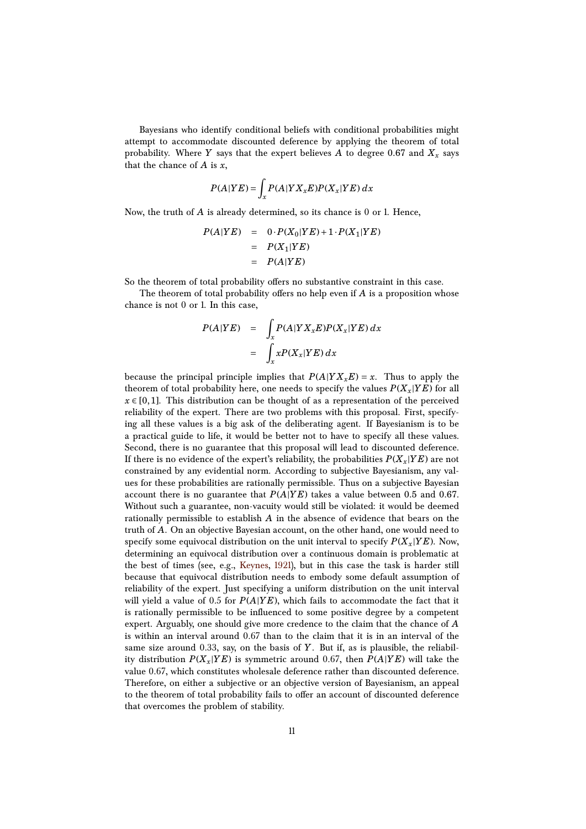Bayesians who identify conditional beliefs with conditional probabilities might attempt to accommodate discounted deference by applying the theorem of total probability. Where *Y* says that the expert believes *A* to degree 0.67 and  $X_x$  says that the chance of *A* is *x*,

$$
P(A|YE) = \int_{x} P(A|YX_xE)P(X_x|YE) dx
$$

Now, the truth of *A* is already determined, so its chance is 0 or 1. Hence,

$$
P(A|YE) = 0 \cdot P(X_0|YE) + 1 \cdot P(X_1|YE)
$$
  
= 
$$
P(X_1|YE)
$$
  
= 
$$
P(A|YE)
$$

So the theorem of total probability offers no substantive constraint in this case.

The theorem of total probability offers no help even if *A* is a proposition whose chance is not 0 or 1. In this case,

$$
P(A|YE) = \int_x P(A|YX_xE)P(X_x|YE) dx
$$
  
= 
$$
\int_x xP(X_x|YE) dx
$$

because the principal principle implies that  $P(A|Y X_x E) = x$ . Thus to apply the theorem of total probability here, one needs to specify the values  $P(X_x|YE)$  for all  $x \in [0,1]$ . This distribution can be thought of as a representation of the perceived reliability of the expert. There are two problems with this proposal. First, specifying all these values is a big ask of the deliberating agent. If Bayesianism is to be a practical guide to life, it would be better not to have to specify all these values. Second, there is no guarantee that this proposal will lead to discounted deference. If there is no evidence of the expert's reliability, the probabilities  $P(X_x|YE)$  are not constrained by any evidential norm. According to subjective Bayesianism, any values for these probabilities are rationally permissible. Thus on a subjective Bayesian account there is no guarantee that  $P(A|YE)$  takes a value between 0.5 and 0.67. Without such a guarantee, non-vacuity would still be violated: it would be deemed rationally permissible to establish *A* in the absence of evidence that bears on the truth of *A*. On an objective Bayesian account, on the other hand, one would need to specify some equivocal distribution on the unit interval to specify  $P(X_x|YE)$ . Now, determining an equivocal distribution over a continuous domain is problematic at the best of times (see, e.g., [Keynes,](#page-18-10) [1921\)](#page-18-10), but in this case the task is harder still because that equivocal distribution needs to embody some default assumption of reliability of the expert. Just specifying a uniform distribution on the unit interval will yield a value of 0.5 for *P*(*A*|*Y E*), which fails to accommodate the fact that it is rationally permissible to be influenced to some positive degree by a competent expert. Arguably, one should give more credence to the claim that the chance of *A* is within an interval around 0.67 than to the claim that it is in an interval of the same size around 0.33, say, on the basis of *Y*. But if, as is plausible, the reliability distribution  $P(X_x|YE)$  is symmetric around 0.67, then  $P(A|YE)$  will take the value 0.67, which constitutes wholesale deference rather than discounted deference. Therefore, on either a subjective or an objective version of Bayesianism, an appeal to the theorem of total probability fails to offer an account of discounted deference that overcomes the problem of stability.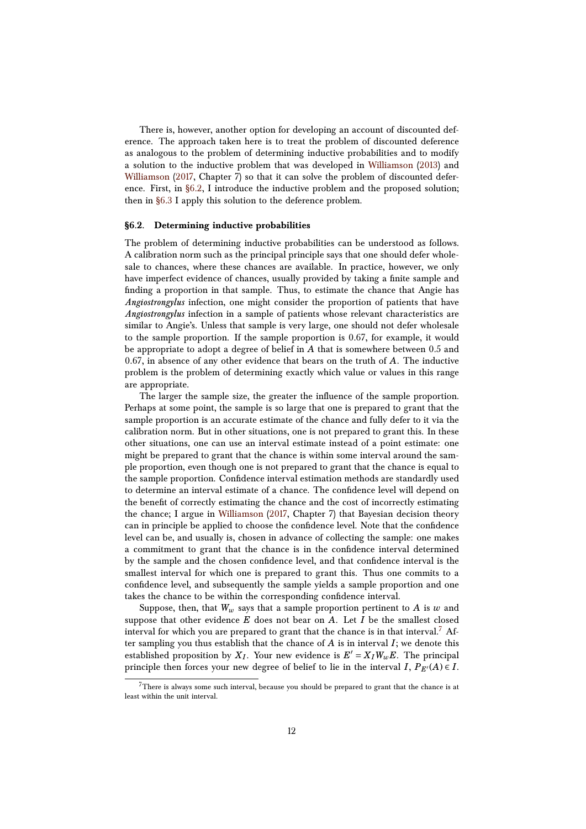There is, however, another option for developing an account of discounted deference. The approach taken here is to treat the problem of discounted deference as analogous to the problem of determining inductive probabilities and to modify a solution to the inductive problem that was developed in [Williamson](#page-19-3) [\(2013\)](#page-19-3) and [Williamson](#page-19-4) [\(2017,](#page-19-4) Chapter 7) so that it can solve the problem of discounted deference. First, in [§6.2,](#page-11-0) I introduce the inductive problem and the proposed solution; then in [§6.3](#page-12-0) I apply this solution to the deference problem.

#### <span id="page-11-0"></span>**§6.2. Determining inductive probabilities**

The problem of determining inductive probabilities can be understood as follows. A calibration norm such as the principal principle says that one should defer wholesale to chances, where these chances are available. In practice, however, we only have imperfect evidence of chances, usually provided by taking a finite sample and finding a proportion in that sample. Thus, to estimate the chance that Angie has *Angiostrongylus* infection, one might consider the proportion of patients that have *Angiostrongylus* infection in a sample of patients whose relevant characteristics are similar to Angie's. Unless that sample is very large, one should not defer wholesale to the sample proportion. If the sample proportion is 0.67, for example, it would be appropriate to adopt a degree of belief in *A* that is somewhere between 0.5 and 0.67, in absence of any other evidence that bears on the truth of *A*. The inductive problem is the problem of determining exactly which value or values in this range are appropriate.

The larger the sample size, the greater the influence of the sample proportion. Perhaps at some point, the sample is so large that one is prepared to grant that the sample proportion is an accurate estimate of the chance and fully defer to it via the calibration norm. But in other situations, one is not prepared to grant this. In these other situations, one can use an interval estimate instead of a point estimate: one might be prepared to grant that the chance is within some interval around the sample proportion, even though one is not prepared to grant that the chance is equal to the sample proportion. Confidence interval estimation methods are standardly used to determine an interval estimate of a chance. The confidence level will depend on the benefit of correctly estimating the chance and the cost of incorrectly estimating the chance; I argue in [Williamson](#page-19-4) [\(2017,](#page-19-4) Chapter 7) that Bayesian decision theory can in principle be applied to choose the confidence level. Note that the confidence level can be, and usually is, chosen in advance of collecting the sample: one makes a commitment to grant that the chance is in the confidence interval determined by the sample and the chosen confidence level, and that confidence interval is the smallest interval for which one is prepared to grant this. Thus one commits to a confidence level, and subsequently the sample yields a sample proportion and one takes the chance to be within the corresponding confidence interval.

Suppose, then, that  $W_w$  says that a sample proportion pertinent to  $A$  is  $w$  and suppose that other evidence  $E$  does not bear on  $A$ . Let  $I$  be the smallest closed interval for which you are prepared to grant that the chance is in that interval.<sup>[7](#page-11-1)</sup> After sampling you thus establish that the chance of *A* is in interval *I*; we denote this established proposition by  $X_I$ . Your new evidence is  $E' = X_I W_w E$ . The principal principle then forces your new degree of belief to lie in the interval *I*,  $P_{E'}(A) \in I$ .

<span id="page-11-1"></span> $7$ There is always some such interval, because you should be prepared to grant that the chance is at least within the unit interval.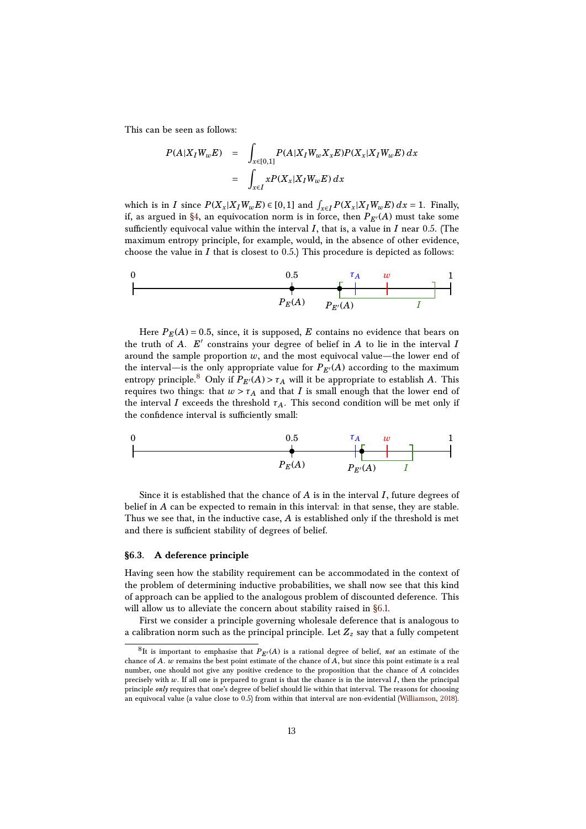This can be seen as follows:

$$
P(A|X_I W_w E) = \int_{x \in [0,1]} P(A|X_I W_w X_x E) P(X_x | X_I W_w E) dx
$$
  
= 
$$
\int_{x \in I} x P(X_x | X_I W_w E) dx
$$

which is in *I* since  $P(X_x|X_I W_w E) \in [0,1]$  and  $\int_{x \in I} P(X_x|X_I W_w E) dx = 1$ . Finally, if, as argued in [§4,](#page-5-0) an equivocation norm is in force, then  $P_{E'}(A)$  must take some sufficiently equivocal value within the interval  $I$ , that is, a value in  $I$  near 0.5. (The maximum entropy principle, for example, would, in the absence of other evidence, choose the value in  $I$  that is closest to  $0.5$ .) This procedure is depicted as follows:

0  
\n0.5  
\n
$$
\uparrow
$$
  
\n
$$
P_E(A)
$$
\n
$$
P_{E'}(A)
$$
\n
$$
I
$$

Here  $P_E(A) = 0.5$ , since, it is supposed, *E* contains no evidence that bears on the truth of  $A$ .  $E'$  constrains your degree of belief in  $A$  to lie in the interval  $I$ around the sample proportion  $w$ , and the most equivocal value—the lower end of the interval—is the only appropriate value for  $P_{E'}(A)$  according to the maximum entropy principle.<sup>[8](#page-12-1)</sup> Only if  $P_{E'}(A) > \tau_A$  will it be appropriate to establish *A*. This requires two things: that  $w > \tau_A$  and that *I* is small enough that the lower end of the interval *I* exceeds the threshold  $\tau_A$ . This second condition will be met only if the confidence interval is sufficiently small:



Since it is established that the chance of *A* is in the interval *I*, future degrees of belief in *A* can be expected to remain in this interval: in that sense, they are stable. Thus we see that, in the inductive case, *A* is established only if the threshold is met and there is sufficient stability of degrees of belief.

## <span id="page-12-0"></span>**§6.3. A deference principle**

Having seen how the stability requirement can be accommodated in the context of the problem of determining inductive probabilities, we shall now see that this kind of approach can be applied to the analogous problem of discounted deference. This will allow us to alleviate the concern about stability raised in [§6.1.](#page-8-2)

First we consider a principle governing wholesale deference that is analogous to a calibration norm such as the principal principle. Let  $Z_z$  say that a fully competent

<span id="page-12-1"></span> ${}^{8}$ It is important to emphasise that  $P_{E'}(A)$  is a rational degree of belief, *not* an estimate of the chance of *A*. *w* remains the best point estimate of the chance of *A*, but since this point estimate is a real number, one should not give any positive credence to the proposition that the chance of *A* coincides precisely with *w*. If all one is prepared to grant is that the chance is in the interval *I*, then the principal principle *only* requires that one's degree of belief should lie within that interval. The reasons for choosing an equivocal value (a value close to 0.5) from within that interval are non-evidential [\(Williamson,](#page-19-5) [2018\)](#page-19-5).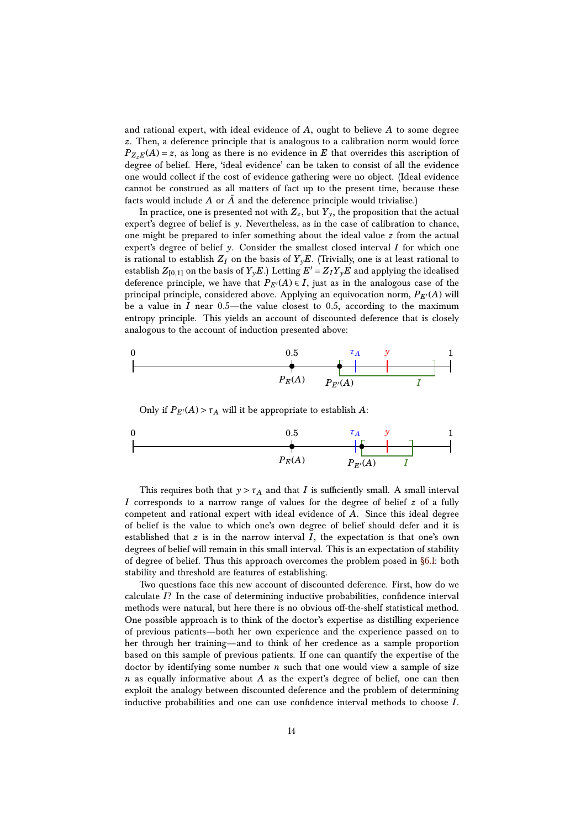and rational expert, with ideal evidence of *A*, ought to believe *A* to some degree *z*. Then, a deference principle that is analogous to a calibration norm would force  $P_{Z,E}(A) = z$ , as long as there is no evidence in *E* that overrides this ascription of degree of belief. Here, 'ideal evidence' can be taken to consist of all the evidence one would collect if the cost of evidence gathering were no object. (Ideal evidence cannot be construed as all matters of fact up to the present time, because these facts would include *A* or *A* and the deference principle would trivialise.)

In practice, one is presented not with  $Z_z$ , but  $Y_y$ , the proposition that the actual expert's degree of belief is *y*. Nevertheless, as in the case of calibration to chance, one might be prepared to infer something about the ideal value *z* from the actual expert's degree of belief  $\gamma$ . Consider the smallest closed interval *I* for which one is rational to establish  $Z_I$  on the basis of  $Y_\nu E$ . (Trivially, one is at least rational to establish  $Z_{[0,1]}$  on the basis of  $Y_yE$ .) Letting  $E' = Z_I Y_yE$  and applying the idealised deference principle, we have that  $P_{E'}(A) \in I$ , just as in the analogous case of the principal principle, considered above. Applying an equivocation norm,  $P_{E'}(A)$  will be a value in  $I$  near  $0.5$ —the value closest to  $0.5$ , according to the maximum entropy principle. This yields an account of discounted deference that is closely analogous to the account of induction presented above:



Only if  $P_{E'}(A) > \tau_A$  will it be appropriate to establish *A*:

0  
\n0.5  
\n
$$
T_A
$$
\n
$$
y
$$
\n1  
\n
$$
P_E(A)
$$
\n
$$
P_{E'}(A)
$$
\n
$$
I
$$

This requires both that  $y > \tau_A$  and that *I* is sufficiently small. A small interval *I* corresponds to a narrow range of values for the degree of belief *z* of a fully competent and rational expert with ideal evidence of *A*. Since this ideal degree of belief is the value to which one's own degree of belief should defer and it is established that  $z$  is in the narrow interval  $I$ , the expectation is that one's own degrees of belief will remain in this small interval. This is an expectation of stability of degree of belief. Thus this approach overcomes the problem posed in [§6.1:](#page-8-2) both stability and threshold are features of establishing.

Two questions face this new account of discounted deference. First, how do we calculate *I*? In the case of determining inductive probabilities, confidence interval methods were natural, but here there is no obvious off-the-shelf statistical method. One possible approach is to think of the doctor's expertise as distilling experience of previous patients—both her own experience and the experience passed on to her through her training—and to think of her credence as a sample proportion based on this sample of previous patients. If one can quantify the expertise of the doctor by identifying some number *n* such that one would view a sample of size *n* as equally informative about *A* as the expert's degree of belief, one can then exploit the analogy between discounted deference and the problem of determining inductive probabilities and one can use confidence interval methods to choose *I*.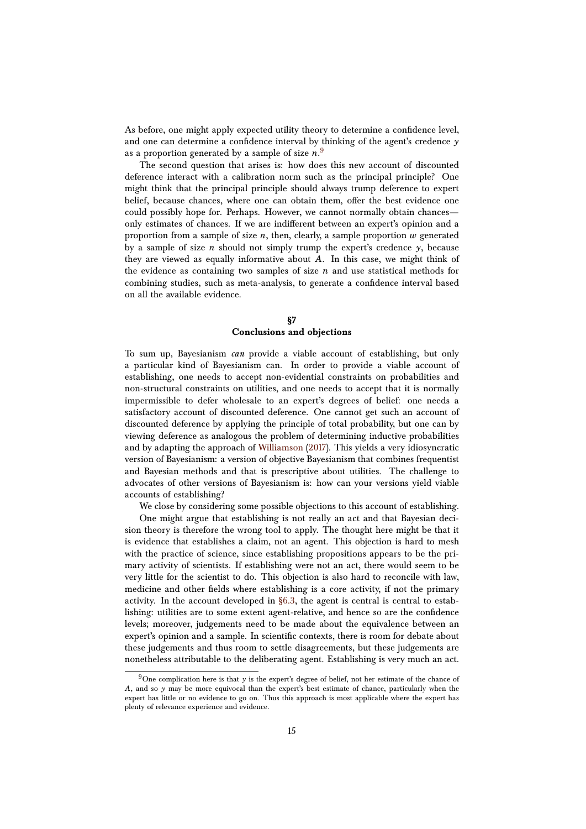As before, one might apply expected utility theory to determine a confidence level, and one can determine a confidence interval by thinking of the agent's credence *y* as a proportion generated by a sample of size *n*. [9](#page-14-1)

The second question that arises is: how does this new account of discounted deference interact with a calibration norm such as the principal principle? One might think that the principal principle should always trump deference to expert belief, because chances, where one can obtain them, offer the best evidence one could possibly hope for. Perhaps. However, we cannot normally obtain chances only estimates of chances. If we are indifferent between an expert's opinion and a proportion from a sample of size *n*, then, clearly, a sample proportion *w* generated by a sample of size *n* should not simply trump the expert's credence *y*, because they are viewed as equally informative about *A*. In this case, we might think of the evidence as containing two samples of size *n* and use statistical methods for combining studies, such as meta-analysis, to generate a confidence interval based on all the available evidence.

# **§7 Conclusions and objections**

<span id="page-14-0"></span>To sum up, Bayesianism *can* provide a viable account of establishing, but only a particular kind of Bayesianism can. In order to provide a viable account of establishing, one needs to accept non-evidential constraints on probabilities and non-structural constraints on utilities, and one needs to accept that it is normally impermissible to defer wholesale to an expert's degrees of belief: one needs a satisfactory account of discounted deference. One cannot get such an account of discounted deference by applying the principle of total probability, but one can by viewing deference as analogous the problem of determining inductive probabilities and by adapting the approach of [Williamson](#page-19-4) [\(2017\)](#page-19-4). This yields a very idiosyncratic version of Bayesianism: a version of objective Bayesianism that combines frequentist and Bayesian methods and that is prescriptive about utilities. The challenge to advocates of other versions of Bayesianism is: how can your versions yield viable accounts of establishing?

We close by considering some possible objections to this account of establishing.

One might argue that establishing is not really an act and that Bayesian decision theory is therefore the wrong tool to apply. The thought here might be that it is evidence that establishes a claim, not an agent. This objection is hard to mesh with the practice of science, since establishing propositions appears to be the primary activity of scientists. If establishing were not an act, there would seem to be very little for the scientist to do. This objection is also hard to reconcile with law, medicine and other fields where establishing is a core activity, if not the primary activity. In the account developed in [§6.3,](#page-12-0) the agent is central is central to establishing: utilities are to some extent agent-relative, and hence so are the confidence levels; moreover, judgements need to be made about the equivalence between an expert's opinion and a sample. In scientific contexts, there is room for debate about these judgements and thus room to settle disagreements, but these judgements are nonetheless attributable to the deliberating agent. Establishing is very much an act.

<span id="page-14-1"></span><sup>9</sup>One complication here is that *y* is the expert's degree of belief, not her estimate of the chance of *A*, and so *y* may be more equivocal than the expert's best estimate of chance, particularly when the expert has little or no evidence to go on. Thus this approach is most applicable where the expert has plenty of relevance experience and evidence.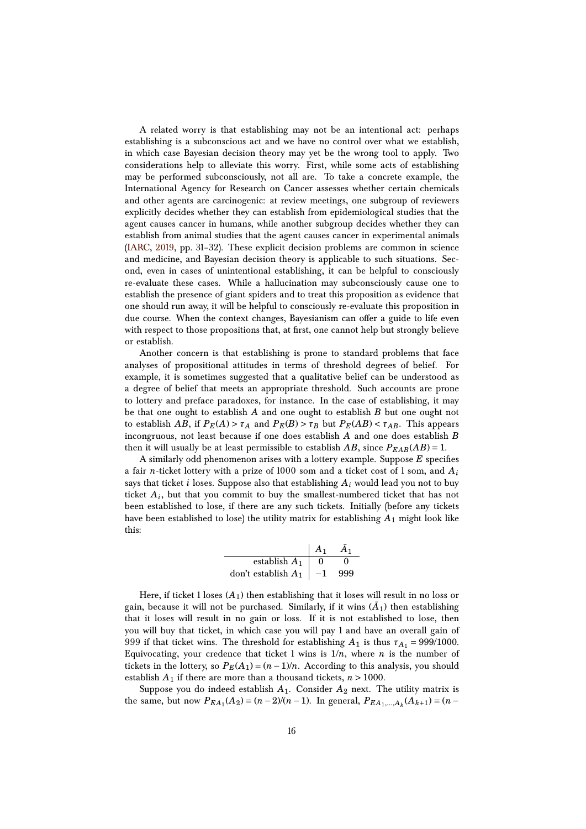A related worry is that establishing may not be an intentional act: perhaps establishing is a subconscious act and we have no control over what we establish, in which case Bayesian decision theory may yet be the wrong tool to apply. Two considerations help to alleviate this worry. First, while some acts of establishing may be performed subconsciously, not all are. To take a concrete example, the International Agency for Research on Cancer assesses whether certain chemicals and other agents are carcinogenic: at review meetings, one subgroup of reviewers explicitly decides whether they can establish from epidemiological studies that the agent causes cancer in humans, while another subgroup decides whether they can establish from animal studies that the agent causes cancer in experimental animals [\(IARC,](#page-18-11) [2019,](#page-18-11) pp. 31–32). These explicit decision problems are common in science and medicine, and Bayesian decision theory is applicable to such situations. Second, even in cases of unintentional establishing, it can be helpful to consciously re-evaluate these cases. While a hallucination may subconsciously cause one to establish the presence of giant spiders and to treat this proposition as evidence that one should run away, it will be helpful to consciously re-evaluate this proposition in due course. When the context changes, Bayesianism can offer a guide to life even with respect to those propositions that, at first, one cannot help but strongly believe or establish.

Another concern is that establishing is prone to standard problems that face analyses of propositional attitudes in terms of threshold degrees of belief. For example, it is sometimes suggested that a qualitative belief can be understood as a degree of belief that meets an appropriate threshold. Such accounts are prone to lottery and preface paradoxes, for instance. In the case of establishing, it may be that one ought to establish *A* and one ought to establish *B* but one ought not to establish *AB*, if  $P_E(A) > \tau_A$  and  $P_E(B) > \tau_B$  but  $P_E(AB) < \tau_{AB}$ . This appears incongruous, not least because if one does establish *A* and one does establish *B* then it will usually be at least permissible to establish  $AB$ , since  $P_{EAB}(AB) = 1$ .

A similarly odd phenomenon arises with a lottery example. Suppose *E* specifies a fair *n*-ticket lottery with a prize of 1000 som and a ticket cost of 1 som, and *A<sup>i</sup>* says that ticket *i* loses. Suppose also that establishing  $A_i$  would lead you not to buy ticket *A<sup>i</sup>* , but that you commit to buy the smallest-numbered ticket that has not been established to lose, if there are any such tickets. Initially (before any tickets have been established to lose) the utility matrix for establishing *A*<sup>1</sup> might look like this:

|                       | $A_1$ | $A_1$ |
|-----------------------|-------|-------|
| establish $A_1$       | 0     |       |
| don't establish $A_1$ |       | 999   |

Here, if ticket 1 loses  $(A_1)$  then establishing that it loses will result in no loss or gain, because it will not be purchased. Similarly, if it wins  $(\bar{A}_1)$  then establishing that it loses will result in no gain or loss. If it is not established to lose, then you will buy that ticket, in which case you will pay 1 and have an overall gain of 999 if that ticket wins. The threshold for establishing  $A_1$  is thus  $\tau_{A_1} = 999/1000$ . Equivocating, your credence that ticket 1 wins is  $1/n$ , where *n* is the number of tickets in the lottery, so  $P_E(A_1) = (n-1)/n$ . According to this analysis, you should establish  $A_1$  if there are more than a thousand tickets,  $n > 1000$ .

Suppose you do indeed establish *A*1. Consider *A*<sup>2</sup> next. The utility matrix is the same, but now  $P_{EA_1}(A_2) = (n-2)/(n-1)$ . In general,  $P_{EA_1,...,A_k}(A_{k+1}) = (n-1)$ .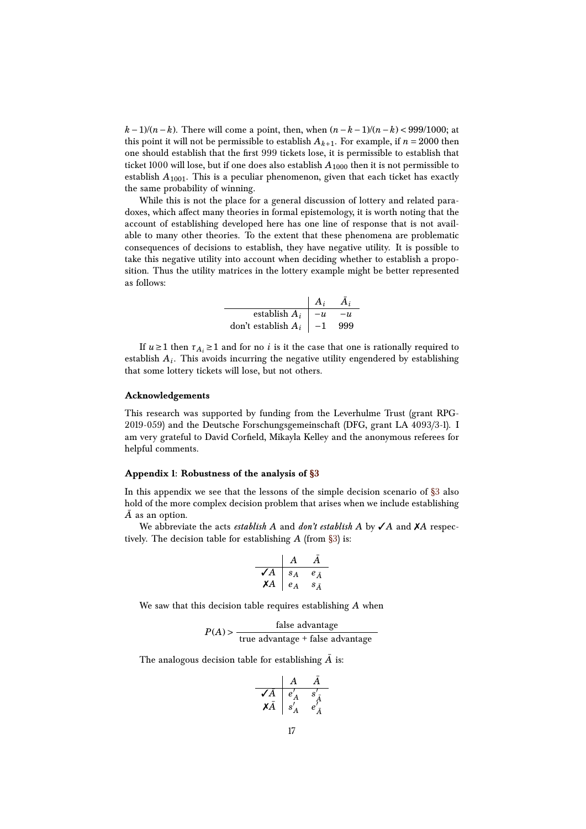*k*−1)/(*n*−*k*). There will come a point, then, when  $(n-k-1)/(n-k)$  < 999/1000; at this point it will not be permissible to establish  $A_{k+1}$ . For example, if  $n = 2000$  then one should establish that the first 999 tickets lose, it is permissible to establish that ticket 1000 will lose, but if one does also establish  $A_{1000}$  then it is not permissible to establish *A*1001. This is a peculiar phenomenon, given that each ticket has exactly the same probability of winning.

While this is not the place for a general discussion of lottery and related paradoxes, which affect many theories in formal epistemology, it is worth noting that the account of establishing developed here has one line of response that is not available to many other theories. To the extent that these phenomena are problematic consequences of decisions to establish, they have negative utility. It is possible to take this negative utility into account when deciding whether to establish a proposition. Thus the utility matrices in the lottery example might be better represented as follows:

|                            | $A_i$ | $A_i$ |
|----------------------------|-------|-------|
| establish $A_i$            | $-u$  | $-u$  |
| don't establish $A_i$   -1 |       | 999   |

If  $u \ge 1$  then  $\tau_{A_i} \ge 1$  and for no *i* is it the case that one is rationally required to establish *A<sup>i</sup>* . This avoids incurring the negative utility engendered by establishing that some lottery tickets will lose, but not others.

## **Acknowledgements**

This research was supported by funding from the Leverhulme Trust (grant RPG-2019-059) and the Deutsche Forschungsgemeinschaft (DFG, grant LA 4093/3-1). I am very grateful to David Corfield, Mikayla Kelley and the anonymous referees for helpful comments.

#### **Appendix 1: Robustness of the analysis of [§3](#page-3-0)**

In this appendix we see that the lessons of the simple decision scenario of  $\S$ 3 also hold of the more complex decision problem that arises when we include establishing  $\overline{A}$  as an option.

We abbreviate the acts *establish A* and *don't establish A* by  $\checkmark$  *A* and  $\checkmark$  *A* respectively. The decision table for establishing *A* (from [§3\)](#page-3-0) is:

$$
\begin{array}{c|cc}\n & A & \bar{A} \\
\hline\n\checkmark A & s_A & e_{\bar{A}} \\
\checkmark A & e_A & s_{\bar{A}}\n\end{array}
$$

We saw that this decision table requires establishing *A* when

 $P(A)$  >  $\frac{\text{false advantage}}{\text{false node}}$ true advantage + false advantage

The analogous decision table for establishing  $\bar{A}$  is:

$$
\begin{array}{c|cc}\n & A & \bar{A} \\
\hline\n\sqrt{A} & e'_A & s'_{\bar{A}} \\
X\bar{A} & s'_A & e'_{\bar{A}} \\
\end{array}
$$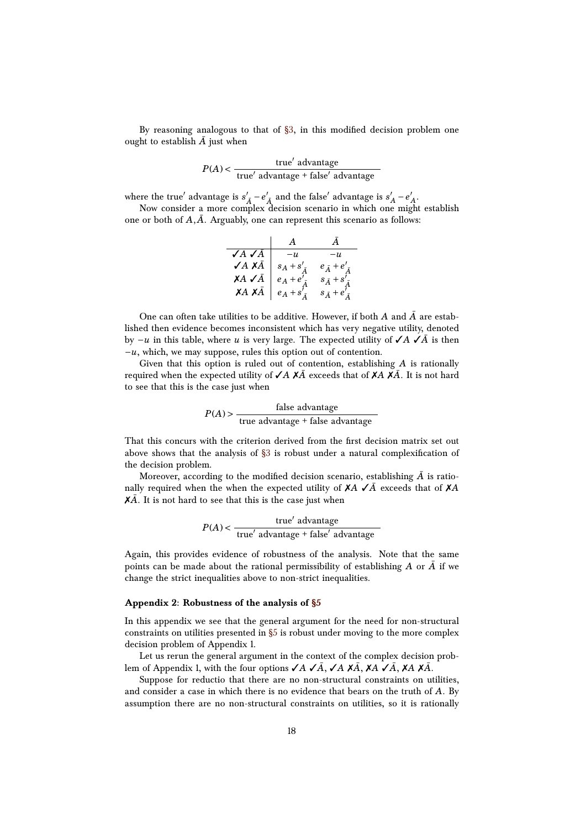By reasoning analogous to that of  $\S3$ , in this modified decision problem one ought to establish  $\overline{A}$  just when

$$
P(A) < \frac{\text{true}^{\prime} \text{ advantage}}{\text{true}^{\prime} \text{ advantage} + \text{false}^{\prime} \text{ advantage}}
$$

where the true<sup> $\prime$ </sup> advantage is  $s_A^{\prime} - e_A^{\prime}$  and the false<sup> $\prime$ </sup> advantage is  $s_A^{\prime}$  $A' - e'$ *A* .

Now consider a more complex decision scenario in which one might establish one or both of  $A, \overline{A}$ . Arguably, one can represent this scenario as follows:

|                      | $\mathbf{A}$         |                            |
|----------------------|----------------------|----------------------------|
| $\sqrt{A} \sqrt{A}$  | $-u$                 | $-n$                       |
| $\sqrt{A} X \bar{A}$ | $s_A + s'_{\bar{s}}$ | $e_{\bar{A}}+e'_{\bar{A}}$ |
| $XA \, \checkmark A$ | $e_A + e'$ .         | $s_{\bar{A}}+s'_{\bar{A}}$ |
| $XA X\bar{A}$        | $e_A + s'_{\bar{s}}$ | $s_{\bar{A}}+e'_{\bar{A}}$ |

One can often take utilities to be additive. However, if both  $A$  and  $\overline{A}$  are established then evidence becomes inconsistent which has very negative utility, denoted by −*u* in this table, where *u* is very large. The expected utility of ✓*A* ✓*A*¯ is then −*u*, which, we may suppose, rules this option out of contention.

Given that this option is ruled out of contention, establishing *A* is rationally required when the expected utility of ✓*A* ✗*A*¯ exceeds that of ✗*A* ✗*A*¯ . It is not hard to see that this is the case just when

$$
P(A) > \frac{\text{false advantage}}{\text{true advantage} + \text{false advantage}}
$$

That this concurs with the criterion derived from the first decision matrix set out above shows that the analysis of  $\S3$  is robust under a natural complexification of the decision problem.

Moreover, according to the modified decision scenario, establishing  $\bar{A}$  is rationally required when the when the expected utility of ✗*A* ✓*A*¯ exceeds that of ✗*A*  $X\bar{A}$ . It is not hard to see that this is the case just when

$$
P(A) < \frac{\text{true}^{\prime} \text{ advantage}}{\text{true}^{\prime} \text{ advantage} + \text{false}^{\prime} \text{ advantage}}
$$

Again, this provides evidence of robustness of the analysis. Note that the same points can be made about the rational permissibility of establishing  $A$  or  $\bar{A}$  if we change the strict inequalities above to non-strict inequalities.

#### **Appendix 2: Robustness of the analysis of [§5](#page-6-0)**

In this appendix we see that the general argument for the need for non-structural constraints on utilities presented in  $\S5$  is robust under moving to the more complex decision problem of Appendix 1.

Let us rerun the general argument in the context of the complex decision problem of Appendix 1, with the four options √*A* √*Ā*, √*A* X*Ā*, X*A* √*Ā*, X*A* X*Ā*.

Suppose for reductio that there are no non-structural constraints on utilities, and consider a case in which there is no evidence that bears on the truth of *A*. By assumption there are no non-structural constraints on utilities, so it is rationally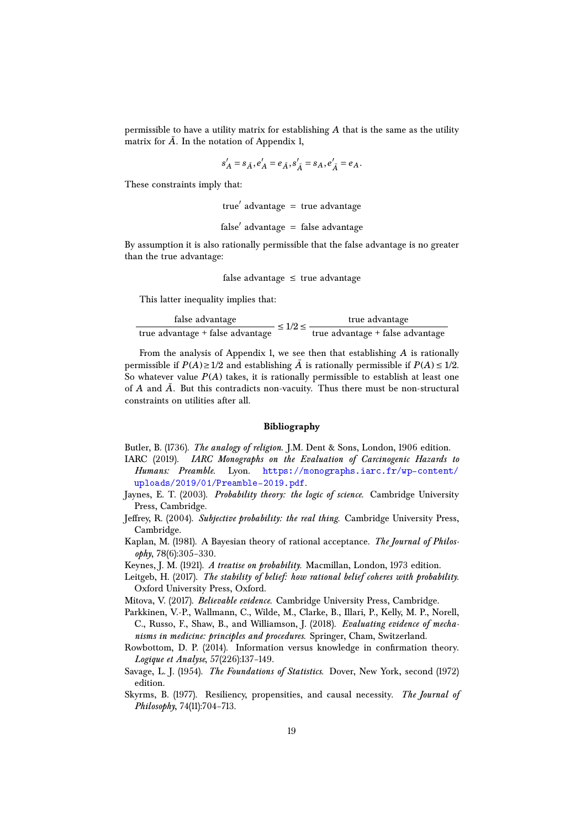permissible to have a utility matrix for establishing *A* that is the same as the utility matrix for  $\bar{A}$ . In the notation of Appendix 1,

$$
s'_{A} = s_{\bar{A}}, e'_{A} = e_{\bar{A}}, s'_{\bar{A}} = s_{A}, e'_{\bar{A}} = e_{A}.
$$

These constraints imply that:

true' advantage = true advantage

$$
false' advantage = false advantage
$$

By assumption it is also rationally permissible that the false advantage is no greater than the true advantage:

false advantage  $\leq$  true advantage

This latter inequality implies that:

| false advantage                  | $\leq 1/2 \leq$ | true advantage                   |
|----------------------------------|-----------------|----------------------------------|
| true advantage + false advantage |                 | true advantage + false advantage |

From the analysis of Appendix 1, we see then that establishing *A* is rationally permissible if  $P(A) \ge 1/2$  and establishing  $\overline{A}$  is rationally permissible if  $P(A) \le 1/2$ . So whatever value  $P(A)$  takes, it is rationally permissible to establish at least one of *A* and  $\bar{A}$ . But this contradicts non-vacuity. Thus there must be non-structural constraints on utilities after all.

# **Bibliography**

- <span id="page-18-4"></span>Butler, B. (1736). *The analogy of religion*. J.M. Dent & Sons, London, 1906 edition.
- <span id="page-18-11"></span>IARC (2019). *IARC Monographs on the Evaluation of Carcinogenic Hazards to Humans: Preamble*. Lyon. [https://monographs.iarc.fr/wp-content/](https://monographs.iarc.fr/wp-content/uploads/2019/01/Preamble-2019.pdf) [uploads/2019/01/Preamble-2019.pdf](https://monographs.iarc.fr/wp-content/uploads/2019/01/Preamble-2019.pdf).
- <span id="page-18-8"></span>Jaynes, E. T. (2003). *Probability theory: the logic of science*. Cambridge University Press, Cambridge.
- <span id="page-18-2"></span>Jeffrey, R. (2004). *Subjective probability: the real thing*. Cambridge University Press, Cambridge.
- <span id="page-18-0"></span>Kaplan, M. (1981). A Bayesian theory of rational acceptance. *The Journal of Philosophy*, 78(6):305–330.
- <span id="page-18-10"></span>Keynes, J. M. (1921). *A treatise on probability*. Macmillan, London, 1973 edition.
- <span id="page-18-7"></span>Leitgeb, H. (2017). *The stability of belief: how rational belief coheres with probability*. Oxford University Press, Oxford.
- <span id="page-18-1"></span>Mitova, V. (2017). *Believable evidence*. Cambridge University Press, Cambridge.
- <span id="page-18-6"></span>Parkkinen, V.-P., Wallmann, C., Wilde, M., Clarke, B., Illari, P., Kelly, M. P., Norell, C., Russo, F., Shaw, B., and Williamson, J. (2018). *Evaluating evidence of mechanisms in medicine: principles and procedures*. Springer, Cham, Switzerland.
- <span id="page-18-3"></span>Rowbottom, D. P. (2014). Information versus knowledge in confirmation theory. *Logique et Analyse*, 57(226):137–149.
- <span id="page-18-9"></span>Savage, L. J. (1954). *The Foundations of Statistics*. Dover, New York, second (1972) edition.
- <span id="page-18-5"></span>Skyrms, B. (1977). Resiliency, propensities, and causal necessity. *The Journal of Philosophy*, 74(11):704–713.